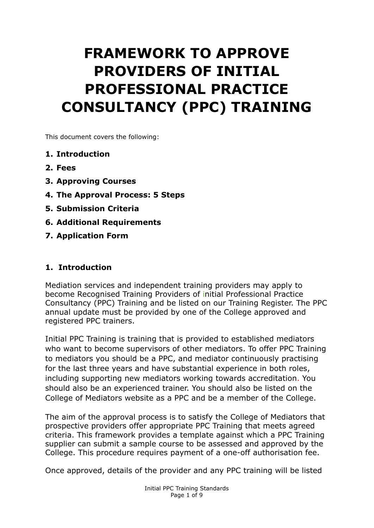# **FRAMEWORK TO APPROVE PROVIDERS OF INITIAL PROFESSIONAL PRACTICE CONSULTANCY (PPC) TRAINING**

This document covers the following:

- **1. Introduction**
- **2. Fees**
- **3. Approving Courses**
- **4. The Approval Process: 5 Steps**
- **5. Submission Criteria**
- **6. Additional Requirements**
- **7. Application Form**

#### **1. Introduction**

Mediation services and independent training providers may apply to become Recognised Training Providers of initial Professional Practice Consultancy (PPC) Training and be listed on our Training Register. The PPC annual update must be provided by one of the College approved and registered PPC trainers.

Initial PPC Training is training that is provided to established mediators who want to become supervisors of other mediators. To offer PPC Training to mediators you should be a PPC, and mediator continuously practising for the last three years and have substantial experience in both roles, including supporting new mediators working towards accreditation. You should also be an experienced trainer. You should also be listed on the College of Mediators website as a PPC and be a member of the College.

The aim of the approval process is to satisfy the College of Mediators that prospective providers offer appropriate PPC Training that meets agreed criteria. This framework provides a template against which a PPC Training supplier can submit a sample course to be assessed and approved by the College. This procedure requires payment of a one-off authorisation fee.

Once approved, details of the provider and any PPC training will be listed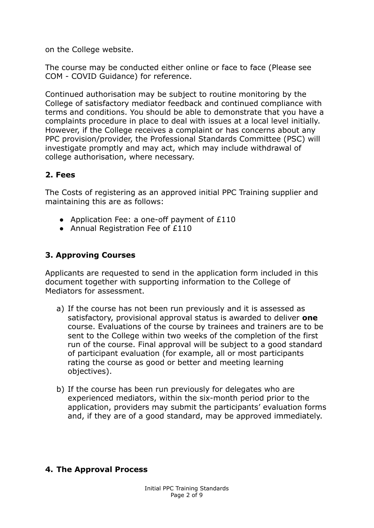on the College website.

The course may be conducted either online or face to face (Please see COM - COVID Guidance) for reference.

Continued authorisation may be subject to routine monitoring by the College of satisfactory mediator feedback and continued compliance with terms and conditions. You should be able to demonstrate that you have a complaints procedure in place to deal with issues at a local level initially. However, if the College receives a complaint or has concerns about any PPC provision/provider, the Professional Standards Committee (PSC) will investigate promptly and may act, which may include withdrawal of college authorisation, where necessary.

#### **2. Fees**

The Costs of registering as an approved initial PPC Training supplier and maintaining this are as follows:

- Application Fee: a one-off payment of £110
- Annual Registration Fee of £110

## **3. Approving Courses**

Applicants are requested to send in the application form included in this document together with supporting information to the College of Mediators for assessment.

- a) If the course has not been run previously and it is assessed as satisfactory, provisional approval status is awarded to deliver **one** course. Evaluations of the course by trainees and trainers are to be sent to the College within two weeks of the completion of the first run of the course. Final approval will be subject to a good standard of participant evaluation (for example, all or most participants rating the course as good or better and meeting learning objectives).
- b) If the course has been run previously for delegates who are experienced mediators, within the six-month period prior to the application, providers may submit the participants' evaluation forms and, if they are of a good standard, may be approved immediately.

#### **4. The Approval Process**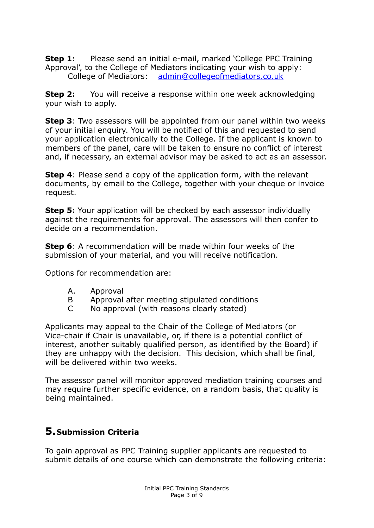**Step 1:** Please send an initial e-mail, marked 'College PPC Training Approval', to the College of Mediators indicating your wish to apply: College of Mediators: [admin@collegeofmediators.co.uk](mailto:admin@collegeofmediators.co.uk)

**Step 2:** You will receive a response within one week acknowledging your wish to apply.

**Step 3**: Two assessors will be appointed from our panel within two weeks of your initial enquiry. You will be notified of this and requested to send your application electronically to the College. If the applicant is known to members of the panel, care will be taken to ensure no conflict of interest and, if necessary, an external advisor may be asked to act as an assessor.

**Step 4:** Please send a copy of the application form, with the relevant documents, by email to the College, together with your cheque or invoice request.

**Step 5:** Your application will be checked by each assessor individually against the requirements for approval. The assessors will then confer to decide on a recommendation.

**Step 6**: A recommendation will be made within four weeks of the submission of your material, and you will receive notification.

Options for recommendation are:

- A. Approval
- B Approval after meeting stipulated conditions
- C No approval (with reasons clearly stated)

Applicants may appeal to the Chair of the College of Mediators (or Vice-chair if Chair is unavailable, or, if there is a potential conflict of interest, another suitably qualified person, as identified by the Board) if they are unhappy with the decision. This decision, which shall be final, will be delivered within two weeks.

The assessor panel will monitor approved mediation training courses and may require further specific evidence, on a random basis, that quality is being maintained.

# **5.Submission Criteria**

To gain approval as PPC Training supplier applicants are requested to submit details of one course which can demonstrate the following criteria: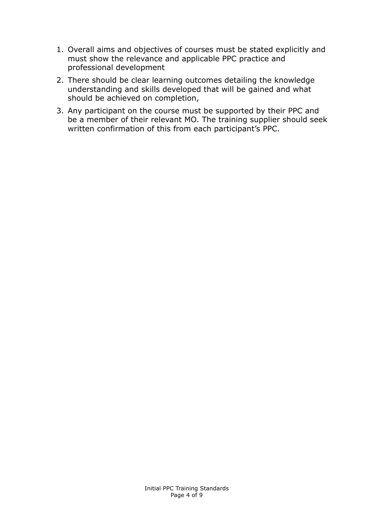- 1. Overall aims and objectives of courses must be stated explicitly and must show the relevance and applicable PPC practice and professional development
- 2. There should be clear learning outcomes detailing the knowledge understanding and skills developed that will be gained and what should be achieved on completion,
- 3. Any participant on the course must be supported by their PPC and be a member of their relevant MO. The training supplier should seek written confirmation of this from each participant's PPC.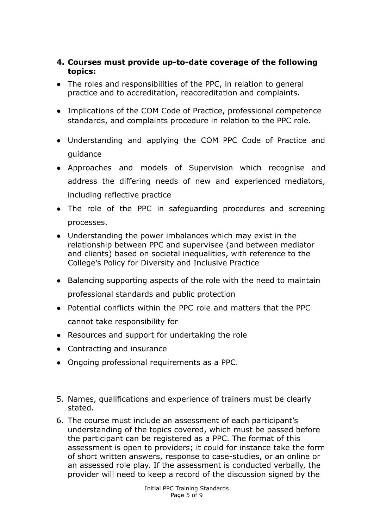#### **4. Courses must provide up-to-date coverage of the following topics:**

- The roles and responsibilities of the PPC, in relation to general practice and to accreditation, reaccreditation and complaints.
- Implications of the COM Code of Practice, professional competence standards, and complaints procedure in relation to the PPC role.
- Understanding and applying the COM PPC Code of Practice and guidance
- Approaches and models of Supervision which recognise and address the differing needs of new and experienced mediators, including reflective practice
- The role of the PPC in safeguarding procedures and screening processes.
- Understanding the power imbalances which may exist in the relationship between PPC and supervisee (and between mediator and clients) based on societal inequalities, with reference to the College's Policy for Diversity and Inclusive Practice
- Balancing supporting aspects of the role with the need to maintain professional standards and public protection
- Potential conflicts within the PPC role and matters that the PPC cannot take responsibility for
- Resources and support for undertaking the role
- Contracting and insurance
- Ongoing professional requirements as a PPC.
- 5. Names, qualifications and experience of trainers must be clearly stated.
- 6. The course must include an assessment of each participant's understanding of the topics covered, which must be passed before the participant can be registered as a PPC. The format of this assessment is open to providers; it could for instance take the form of short written answers, response to case-studies, or an online or an assessed role play. If the assessment is conducted verbally, the provider will need to keep a record of the discussion signed by the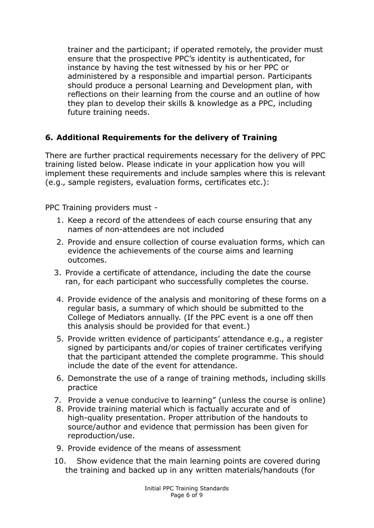trainer and the participant; if operated remotely, the provider must ensure that the prospective PPC's identity is authenticated, for instance by having the test witnessed by his or her PPC or administered by a responsible and impartial person. Participants should produce a personal Learning and Development plan, with reflections on their learning from the course and an outline of how they plan to develop their skills & knowledge as a PPC, including future training needs.

#### **6. Additional Requirements for the delivery of Training**

There are further practical requirements necessary for the delivery of PPC training listed below. Please indicate in your application how you will implement these requirements and include samples where this is relevant (e.g., sample registers, evaluation forms, certificates etc.):

PPC Training providers must -

- 1. Keep a record of the attendees of each course ensuring that any names of non-attendees are not included
- 2. Provide and ensure collection of course evaluation forms, which can evidence the achievements of the course aims and learning outcomes.
- 3. Provide a certificate of attendance, including the date the course ran, for each participant who successfully completes the course.
- 4. Provide evidence of the analysis and monitoring of these forms on a regular basis, a summary of which should be submitted to the College of Mediators annually. (If the PPC event is a one off then this analysis should be provided for that event.)
- 5. Provide written evidence of participants' attendance e.g., a register signed by participants and/or copies of trainer certificates verifying that the participant attended the complete programme. This should include the date of the event for attendance.
- 6. Demonstrate the use of a range of training methods, including skills practice
- 7. Provide a venue conducive to learning" (unless the course is online)
- 8. Provide training material which is factually accurate and of high-quality presentation. Proper attribution of the handouts to source/author and evidence that permission has been given for reproduction/use.
- 9. Provide evidence of the means of assessment
- 10. Show evidence that the main learning points are covered during the training and backed up in any written materials/handouts (for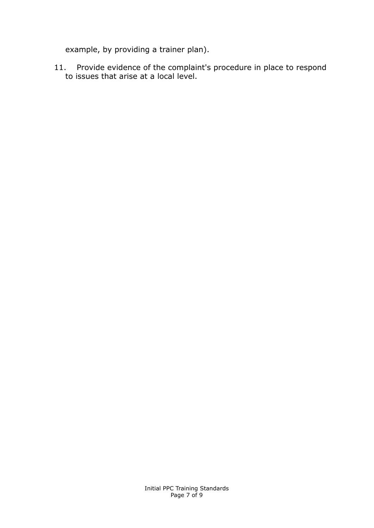example, by providing a trainer plan).

11. Provide evidence of the complaint's procedure in place to respond to issues that arise at a local level.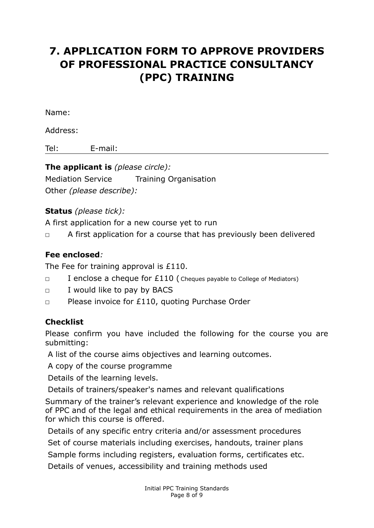# **7. APPLICATION FORM TO APPROVE PROVIDERS OF PROFESSIONAL PRACTICE CONSULTANCY (PPC) TRAINING**

Name:

Address:

Tel: E-mail:

**The applicant is** *(please circle):* Mediation Service Training Organisation Other *(please describe):*

# **Status** *(please tick):*

A first application for a new course yet to run

◻ A first application for a course that has previously been delivered

## **Fee enclosed***:*

The Fee for training approval is £110.

- $\Box$  I enclose a cheque for £110 ( Cheques payable to College of Mediators)
- ◻ I would like to pay by BACS
- ◻ Please invoice for £110, quoting Purchase Order

# **Checklist**

Please confirm you have included the following for the course you are submitting:

A list of the course aims objectives and learning outcomes.

A copy of the course programme

Details of the learning levels.

Details of trainers/speaker's names and relevant qualifications

Summary of the trainer's relevant experience and knowledge of the role of PPC and of the legal and ethical requirements in the area of mediation for which this course is offered.

Details of any specific entry criteria and/or assessment procedures Set of course materials including exercises, handouts, trainer plans Sample forms including registers, evaluation forms, certificates etc. Details of venues, accessibility and training methods used